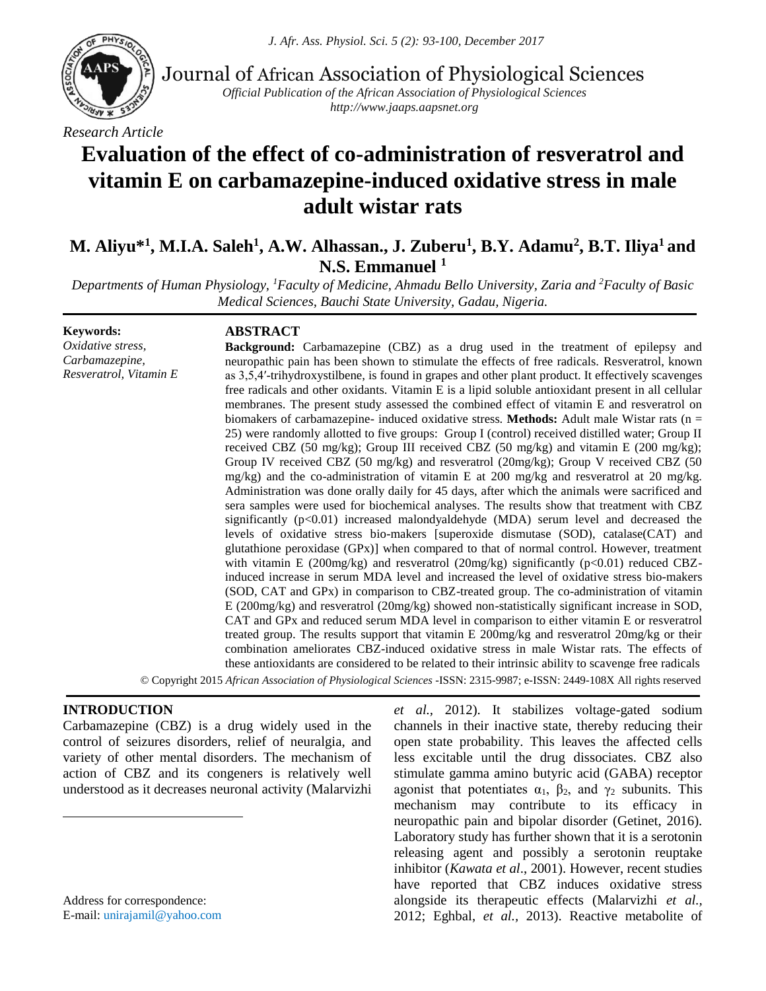

Journal of African Association of Physiological Sciences

*Official Publication of the African Association of Physiological Sciences http://www.jaaps.aapsnet.org*

## *Research Article*

# **Evaluation of the effect of co-administration of resveratrol and vitamin E on carbamazepine-induced oxidative stress in male adult wistar rats**

**M. Aliyu\*<sup>1</sup> , M.I.A. Saleh<sup>1</sup> , A.W. Alhassan., J. Zuberu<sup>1</sup> , B.Y. Adamu<sup>2</sup> , B.T. Iliya<sup>1</sup>and N.S. Emmanuel <sup>1</sup>**

*Departments of Human Physiology, <sup>1</sup>Faculty of Medicine, Ahmadu Bello University, Zaria and <sup>2</sup>Faculty of Basic Medical Sciences, Bauchi State University, Gadau, Nigeria.*

#### **Keywords:** *Oxidative stress,*

*Carbamazepine, Resveratrol, Vitamin E*

#### **ABSTRACT**

**Background:** Carbamazepine (CBZ) as a drug used in the treatment of epilepsy and neuropathic pain has been shown to stimulate the effects of free radicals. Resveratrol, known as 3,5,4′-trihydroxystilbene, is found in grapes and other plant product. It effectively scavenges free radicals and other oxidants. Vitamin E is a lipid soluble antioxidant present in all cellular membranes. The present study assessed the combined effect of vitamin E and resveratrol on biomakers of carbamazepine- induced oxidative stress. **Methods:** Adult male Wistar rats (n = 25) were randomly allotted to five groups: Group I (control) received distilled water; Group II received CBZ (50 mg/kg); Group III received CBZ (50 mg/kg) and vitamin E (200 mg/kg); Group IV received CBZ (50 mg/kg) and resveratrol (20mg/kg); Group V received CBZ (50 mg/kg) and the co-administration of vitamin E at 200 mg/kg and resveratrol at 20 mg/kg. Administration was done orally daily for 45 days, after which the animals were sacrificed and sera samples were used for biochemical analyses. The results show that treatment with CBZ significantly (p<0.01) increased malondyaldehyde (MDA) serum level and decreased the levels of oxidative stress bio-makers [superoxide dismutase (SOD), catalase(CAT) and glutathione peroxidase (GPx)] when compared to that of normal control. However, treatment with vitamin E (200mg/kg) and resveratrol (20mg/kg) significantly ( $p<0.01$ ) reduced CBZinduced increase in serum MDA level and increased the level of oxidative stress bio-makers (SOD, CAT and GPx) in comparison to CBZ-treated group. The co-administration of vitamin E (200mg/kg) and resveratrol (20mg/kg) showed non-statistically significant increase in SOD, CAT and GPx and reduced serum MDA level in comparison to either vitamin E or resveratrol treated group. The results support that vitamin E 200mg/kg and resveratrol 20mg/kg or their combination ameliorates CBZ-induced oxidative stress in male Wistar rats. The effects of these antioxidants are considered to be related to their intrinsic ability to scavenge free radicals

. © Copyright 2015 *African Association of Physiological Sciences* -ISSN: 2315-9987; e-ISSN: 2449-108X All rights reserved

#### **INTRODUCTION<sup>1</sup>**

 $\overline{a}$ 

Carbamazepine (CBZ) is a drug widely used in the control of seizures disorders, relief of neuralgia, and variety of other mental disorders. The mechanism of action of CBZ and its congeners is relatively well understood as it decreases neuronal activity (Malarvizhi

channels in their inactive state, thereby reducing their open state probability. This leaves the affected cells less excitable until the drug dissociates. CBZ also stimulate gamma amino butyric acid (GABA) receptor agonist that potentiates  $\alpha_1$ ,  $\beta_2$ , and  $\gamma_2$  subunits. This mechanism may contribute to its efficacy in neuropathic pain and bipolar disorder (Getinet, 2016). Laboratory study has further shown that it is a serotonin releasing agent and possibly a serotonin reuptake inhibitor (*Kawata et al*., 2001). However, recent studies have reported that CBZ induces oxidative stress alongside its therapeutic effects (Malarvizhi *et al.,* 2012; Eghbal, *et al.,* 2013). Reactive metabolite of

*et al.,* 2012). It stabilizes voltage-gated sodium

Address for correspondence: E-mail: [unirajamil@yahoo.com](mailto:unirajamil@yahoo.com)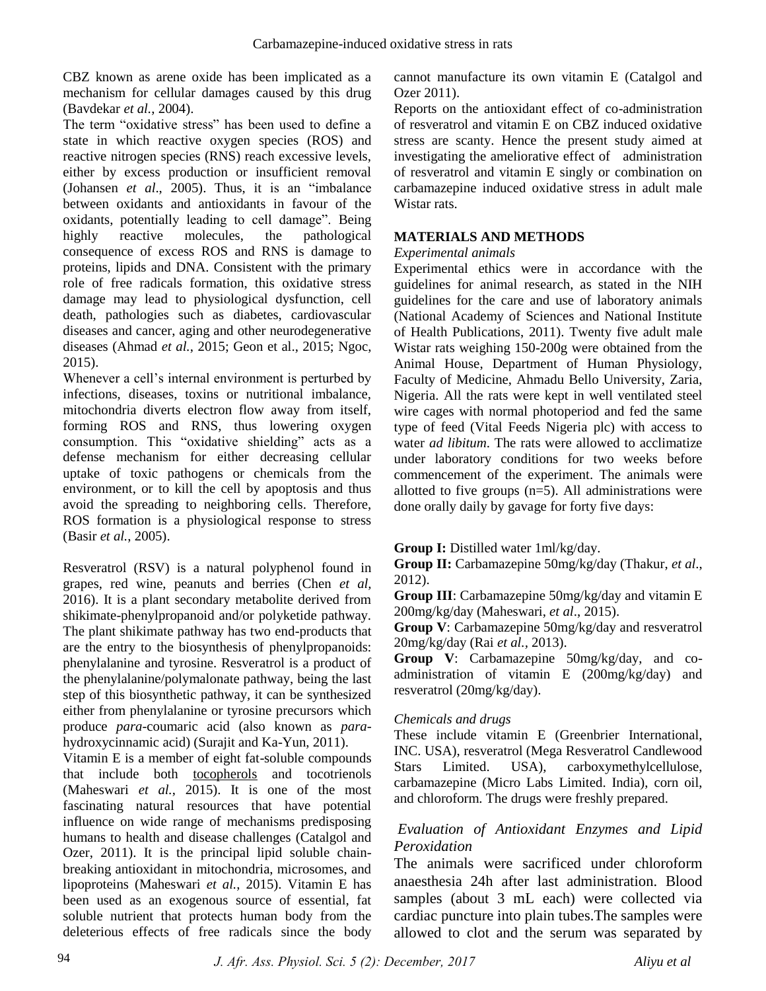CBZ known as arene oxide has been implicated as a mechanism for cellular damages caused by this drug (Bavdekar *et al.*, 2004).

The term "oxidative stress" has been used to define a state in which reactive oxygen species (ROS) and reactive nitrogen species (RNS) reach excessive levels, either by excess production or insufficient removal (Johansen *et al*., 2005). Thus, it is an "imbalance between oxidants and antioxidants in favour of the oxidants, potentially leading to cell damage". Being highly reactive molecules, the pathological consequence of excess ROS and RNS is damage to proteins, lipids and DNA. Consistent with the primary role of free radicals formation, this oxidative stress damage may lead to physiological dysfunction, cell death, pathologies such as diabetes, cardiovascular diseases and cancer, aging and other neurodegenerative diseases (Ahmad *et al.*, 2015; Geon et al., 2015; Ngoc, 2015).

Whenever a cell's internal environment is perturbed by infections, diseases, toxins or nutritional imbalance, mitochondria diverts electron flow away from itself, forming ROS and RNS, thus lowering oxygen consumption. This "oxidative shielding" acts as a defense mechanism for either decreasing cellular uptake of toxic pathogens or chemicals from the environment, or to kill the cell by apoptosis and thus avoid the spreading to neighboring cells. Therefore, ROS formation is a physiological response to stress (Basir *et al.*, 2005).

Resveratrol (RSV) is a natural polyphenol found in grapes, red wine, peanuts and berries (Chen *et al,* 2016). It is a plant secondary metabolite derived from shikimate-phenylpropanoid and/or polyketide pathway. The plant shikimate pathway has two end-products that are the entry to the biosynthesis of phenylpropanoids: phenylalanine and tyrosine. Resveratrol is a product of the phenylalanine/polymalonate pathway, being the last step of this biosynthetic pathway, it can be synthesized either from phenylalanine or tyrosine precursors which produce *para*-coumaric acid (also known as *para*hydroxycinnamic acid) (Surajit and Ka-Yun, 2011).

Vitamin E is a member of eight fat-soluble compounds that include both [tocopherols](http://en.wikipedia.org/wiki/Tocopherol) and tocotrienols (Maheswari *et al.*, 2015). It is one of the most fascinating natural resources that have potential influence on wide range of mechanisms predisposing humans to health and disease challenges (Catalgol and Ozer, 2011). It is the principal lipid soluble chainbreaking antioxidant in mitochondria, microsomes, and lipoproteins (Maheswari *et al.*, 2015). Vitamin E has been used as an exogenous source of essential, fat soluble nutrient that protects human body from the deleterious effects of free radicals since the body

cannot manufacture its own vitamin E (Catalgol and Ozer 2011).

Reports on the antioxidant effect of co-administration of resveratrol and vitamin E on CBZ induced oxidative stress are scanty. Hence the present study aimed at investigating the ameliorative effect of administration of resveratrol and vitamin E singly or combination on carbamazepine induced oxidative stress in adult male Wistar rats.

## **MATERIALS AND METHODS**

#### *Experimental animals*

Experimental ethics were in accordance with the guidelines for animal research, as stated in the NIH guidelines for the care and use of laboratory animals (National Academy of Sciences and National Institute of Health Publications, 2011). Twenty five adult male Wistar rats weighing 150-200g were obtained from the Animal House, Department of Human Physiology, Faculty of Medicine, Ahmadu Bello University, Zaria, Nigeria. All the rats were kept in well ventilated steel wire cages with normal photoperiod and fed the same type of feed (Vital Feeds Nigeria plc) with access to water *ad libitum*. The rats were allowed to acclimatize under laboratory conditions for two weeks before commencement of the experiment. The animals were allotted to five groups  $(n=5)$ . All administrations were done orally daily by gavage for forty five days:

**Group I:** Distilled water 1ml/kg/day.

**Group II:** Carbamazepine 50mg/kg/day (Thakur, *et al*., 2012).

**Group III**: Carbamazepine 50mg/kg/day and vitamin E 200mg/kg/day (Maheswari, *et al*., 2015).

**Group V**: Carbamazepine 50mg/kg/day and resveratrol 20mg/kg/day (Rai *et al.,* 2013).

**Group V**: Carbamazepine 50mg/kg/day, and coadministration of vitamin E (200mg/kg/day) and resveratrol (20mg/kg/day).

## *Chemicals and drugs*

These include vitamin E (Greenbrier International, INC. USA), resveratrol (Mega Resveratrol Candlewood Stars Limited. USA), carboxymethylcellulose, carbamazepine (Micro Labs Limited. India), corn oil, and chloroform. The drugs were freshly prepared.

# *Evaluation of Antioxidant Enzymes and Lipid Peroxidation*

The animals were sacrificed under chloroform anaesthesia 24h after last administration. Blood samples (about 3 mL each) were collected via cardiac puncture into plain tubes.The samples were allowed to clot and the serum was separated by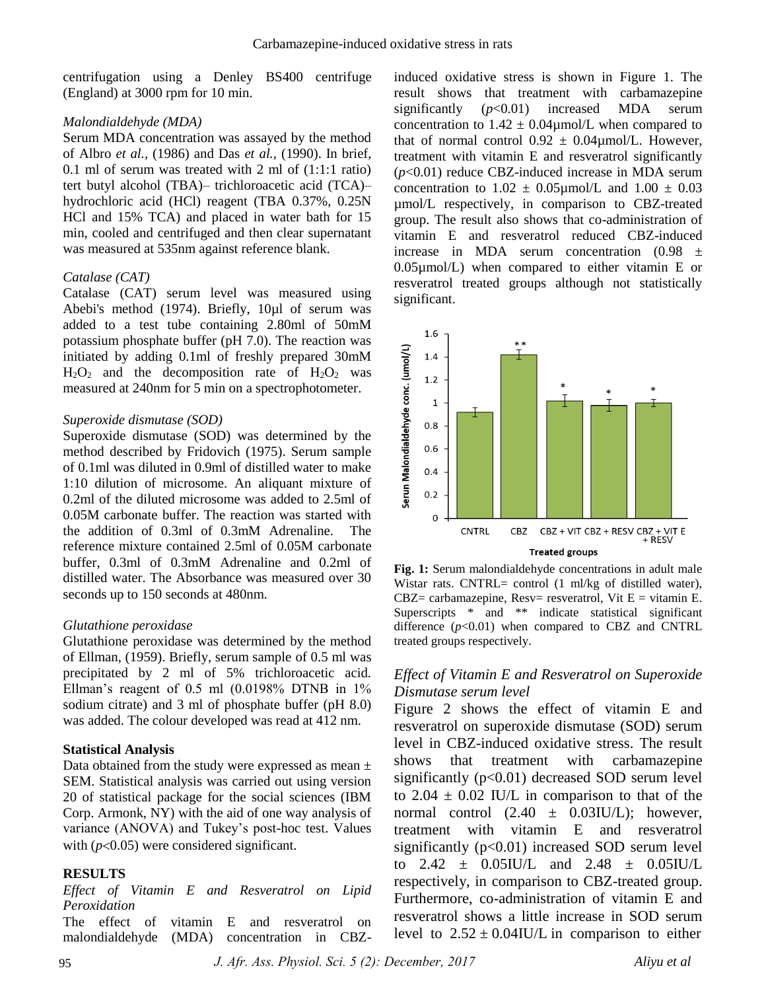centrifugation using a Denley BS400 centrifuge (England) at 3000 rpm for 10 min.

#### *Malondialdehyde (MDA)*

Serum MDA concentration was assayed by the method of Albro *et al.,* (1986) and Das *et al.,* (1990). In brief, 0.1 ml of serum was treated with 2 ml of (1:1:1 ratio) tert butyl alcohol (TBA)– trichloroacetic acid (TCA)– hydrochloric acid (HCl) reagent (TBA 0.37%, 0.25N HCl and 15% TCA) and placed in water bath for 15 min, cooled and centrifuged and then clear supernatant was measured at 535nm against reference blank.

## *Catalase (CAT)*

Catalase (CAT) serum level was measured using Abebi's method (1974). Briefly, 10µl of serum was added to a test tube containing 2.80ml of 50mM potassium phosphate buffer (pH 7.0). The reaction was initiated by adding 0.1ml of freshly prepared 30mM  $H_2O_2$  and the decomposition rate of  $H_2O_2$  was measured at 240nm for 5 min on a spectrophotometer.

#### *Superoxide dismutase (SOD)*

Superoxide dismutase (SOD) was determined by the method described by Fridovich (1975). Serum sample of 0.1ml was diluted in 0.9ml of distilled water to make 1:10 dilution of microsome. An aliquant mixture of 0.2ml of the diluted microsome was added to 2.5ml of 0.05M carbonate buffer. The reaction was started with the addition of 0.3ml of 0.3mM Adrenaline. The reference mixture contained 2.5ml of 0.05M carbonate buffer, 0.3ml of 0.3mM Adrenaline and 0.2ml of distilled water. The Absorbance was measured over 30 seconds up to 150 seconds at 480nm.

## *Glutathione peroxidase*

Glutathione peroxidase was determined by the method of Ellman, (1959). Briefly, serum sample of 0.5 ml was precipitated by 2 ml of 5% trichloroacetic acid. Ellman's reagent of  $0.5$  ml  $(0.0198\%$  DTNB in  $1\%$ sodium citrate) and 3 ml of phosphate buffer (pH 8.0) was added. The colour developed was read at 412 nm.

## **Statistical Analysis**

Data obtained from the study were expressed as mean  $\pm$ SEM. Statistical analysis was carried out using version 20 of statistical package for the social sciences (IBM Corp. Armonk, NY) with the aid of one way analysis of variance (ANOVA) and Tukey's post-hoc test. Values with  $(p<0.05)$  were considered significant.

## **RESULTS**

#### *Effect of Vitamin E and Resveratrol on Lipid Peroxidation*

The effect of vitamin E and resveratrol on malondialdehyde (MDA) concentration in CBZ- induced oxidative stress is shown in Figure 1. The result shows that treatment with carbamazepine significantly (*p*<0.01) increased MDA serum concentration to  $1.42 \pm 0.04 \mu$  mol/L when compared to that of normal control  $0.92 \pm 0.04 \mu$ mol/L. However, treatment with vitamin E and resveratrol significantly (*p*<0.01) reduce CBZ-induced increase in MDA serum concentration to  $1.02 \pm 0.05$ umol/L and  $1.00 \pm 0.03$ µmol/L respectively, in comparison to CBZ-treated group. The result also shows that co-administration of vitamin E and resveratrol reduced CBZ-induced increase in MDA serum concentration  $(0.98 \pm$ 0.05µmol/L) when compared to either vitamin E or resveratrol treated groups although not statistically significant.



**Fig. 1:** Serum malondialdehyde concentrations in adult male Wistar rats. CNTRL= control (1 ml/kg of distilled water), CBZ= carbamazepine, Resv= resveratrol, Vit  $E =$  vitamin E. Superscripts \* and \*\* indicate statistical significant difference  $(p<0.01)$  when compared to CBZ and CNTRL treated groups respectively.

## *Effect of Vitamin E and Resveratrol on Superoxide Dismutase serum level*

Figure 2 shows the effect of vitamin E and resveratrol on superoxide dismutase (SOD) serum level in CBZ-induced oxidative stress. The result shows that treatment with carbamazepine significantly  $(p<0.01)$  decreased SOD serum level to  $2.04 \pm 0.02$  IU/L in comparison to that of the normal control  $(2.40 \pm 0.03)$ IU/L); however, treatment with vitamin E and resveratrol significantly  $(p<0.01)$  increased SOD serum level to 2.42 ± 0.05IU/L and 2.48 ± 0.05IU/L respectively, in comparison to CBZ-treated group. Furthermore, co-administration of vitamin E and resveratrol shows a little increase in SOD serum level to  $2.52 \pm 0.04$ IU/L in comparison to either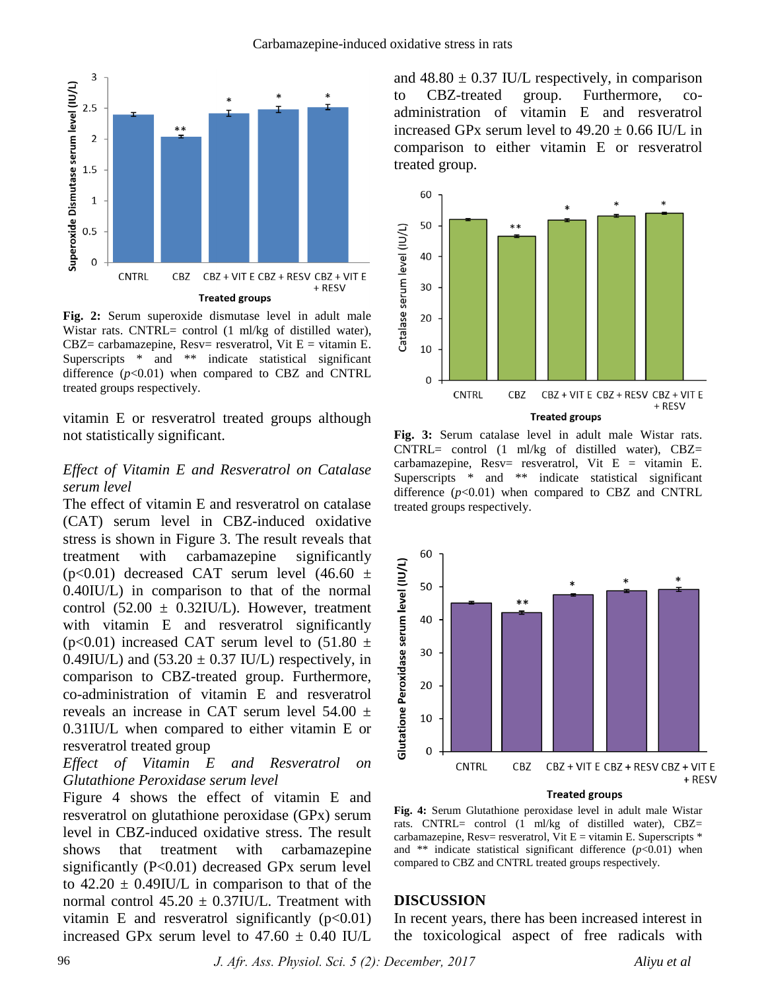

**Fig. 2:** Serum superoxide dismutase level in adult male Wistar rats. CNTRL= control (1 ml/kg of distilled water),  $CBZ=$  carbamazepine, Resv= resveratrol, Vit  $E =$  vitamin E. Superscripts \* and \*\* indicate statistical significant difference  $(p<0.01)$  when compared to CBZ and CNTRL treated groups respectively.

vitamin E or resveratrol treated groups although not statistically significant.

#### *Effect of Vitamin E and Resveratrol on Catalase serum level*

The effect of vitamin E and resveratrol on catalase (CAT) serum level in CBZ-induced oxidative stress is shown in Figure 3. The result reveals that treatment with carbamazepine significantly (p<0.01) decreased CAT serum level  $(46.60 \pm$ 0.40IU/L) in comparison to that of the normal control (52.00  $\pm$  0.32IU/L). However, treatment with vitamin E and resveratrol significantly (p<0.01) increased CAT serum level to  $(51.80 \pm$ 0.49IU/L) and  $(53.20 \pm 0.37 \text{ IU/L})$  respectively, in comparison to CBZ-treated group. Furthermore, co-administration of vitamin E and resveratrol reveals an increase in CAT serum level  $54.00 \pm$ 0.31IU/L when compared to either vitamin E or resveratrol treated group

*Effect of Vitamin E and Resveratrol on Glutathione Peroxidase serum level*

Figure 4 shows the effect of vitamin E and resveratrol on glutathione peroxidase (GPx) serum level in CBZ-induced oxidative stress. The result shows that treatment with carbamazepine significantly (P<0.01) decreased GPx serum level to  $42.20 \pm 0.49$ IU/L in comparison to that of the normal control  $45.20 \pm 0.37$ IU/L. Treatment with vitamin E and resveratrol significantly  $(p<0.01)$ increased GPx serum level to  $47.60 \pm 0.40$  IU/L

and  $48.80 \pm 0.37$  IU/L respectively, in comparison to CBZ-treated group. Furthermore, coadministration of vitamin E and resveratrol increased GPx serum level to  $49.20 \pm 0.66$  IU/L in comparison to either vitamin E or resveratrol treated group.



**Fig. 3:** Serum catalase level in adult male Wistar rats. CNTRL= control (1 ml/kg of distilled water), CBZ= carbamazepine, Resv= resveratrol, Vit  $E = vitamin E$ . Superscripts \* and \*\* indicate statistical significant difference  $(p<0.01)$  when compared to CBZ and CNTRL treated groups respectively.



**Fig. 4:** Serum Glutathione peroxidase level in adult male Wistar rats. CNTRL= control (1 ml/kg of distilled water), CBZ= carbamazepine, Resv= resveratrol, Vit E = vitamin E. Superscripts  $*$ and  $**$  indicate statistical significant difference  $(p<0.01)$  when compared to CBZ and CNTRL treated groups respectively.

#### **DISCUSSION**

In recent years, there has been increased interest in the toxicological aspect of free radicals with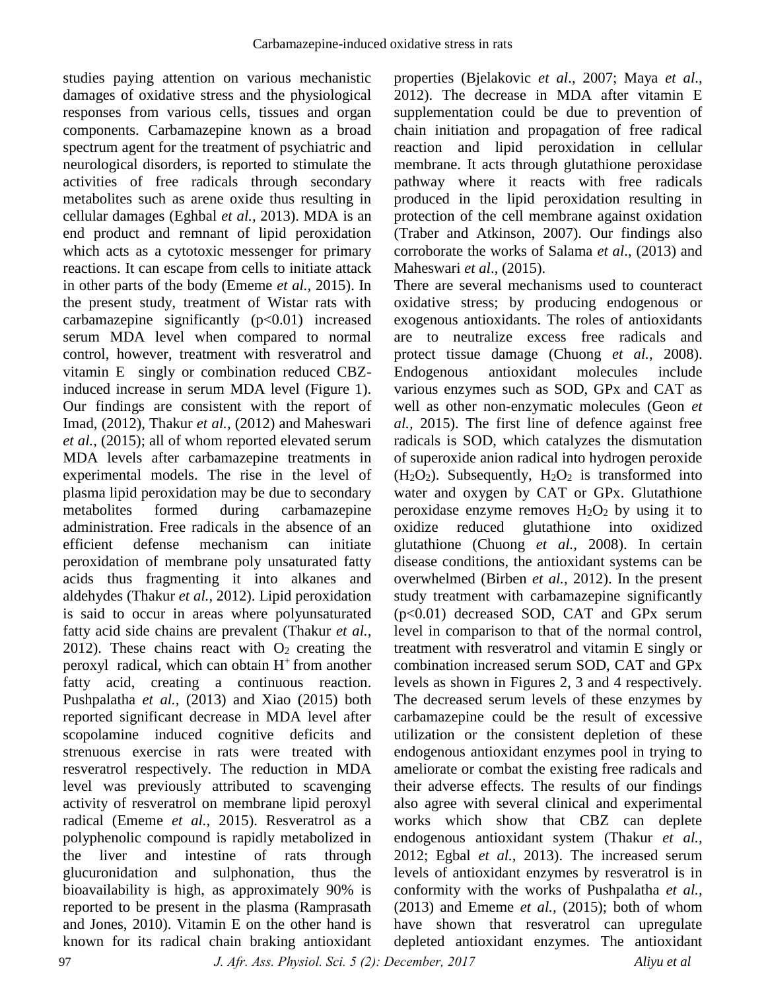studies paying attention on various mechanistic damages of oxidative stress and the physiological responses from various cells, tissues and organ components. Carbamazepine known as a broad spectrum agent for the treatment of psychiatric and neurological disorders, is reported to stimulate the activities of free radicals through secondary metabolites such as arene oxide thus resulting in cellular damages (Eghbal *et al.,* 2013). MDA is an end product and remnant of lipid peroxidation which acts as a cytotoxic messenger for primary reactions. It can escape from cells to initiate attack in other parts of the body (Ememe *et al.,* 2015). In the present study, treatment of Wistar rats with carbamazepine significantly  $(p<0.01)$  increased serum MDA level when compared to normal control, however, treatment with resveratrol and vitamin E singly or combination reduced CBZinduced increase in serum MDA level (Figure 1). Our findings are consistent with the report of Imad, (2012), Thakur *et al.,* (2012) and Maheswari *et al.,* (2015); all of whom reported elevated serum MDA levels after carbamazepine treatments in experimental models. The rise in the level of plasma lipid peroxidation may be due to secondary metabolites formed during carbamazepine administration. Free radicals in the absence of an efficient defense mechanism can initiate peroxidation of membrane poly unsaturated fatty acids thus fragmenting it into alkanes and aldehydes (Thakur *et al.,* 2012). Lipid peroxidation is said to occur in areas where polyunsaturated fatty acid side chains are prevalent (Thakur *et al.,*  2012). These chains react with  $O<sub>2</sub>$  creating the peroxyl radical, which can obtain  $H^+$  from another fatty acid, creating a continuous reaction. Pushpalatha *et al.,* (2013) and Xiao (2015) both reported significant decrease in MDA level after scopolamine induced cognitive deficits and strenuous exercise in rats were treated with resveratrol respectively. The reduction in MDA level was previously attributed to scavenging activity of resveratrol on membrane lipid peroxyl radical (Ememe *et al.,* 2015). Resveratrol as a polyphenolic compound is rapidly metabolized in the liver and intestine of rats through glucuronidation and sulphonation, thus the bioavailability is high, as approximately 90% is reported to be present in the plasma (Ramprasath and Jones, 2010). Vitamin E on the other hand is known for its radical chain braking antioxidant

properties (Bjelakovic *et al*., 2007; Maya *et al*., 2012). The decrease in MDA after vitamin E supplementation could be due to prevention of chain initiation and propagation of free radical reaction and lipid peroxidation in cellular membrane. It acts through glutathione peroxidase pathway where it reacts with free radicals produced in the lipid peroxidation resulting in protection of the cell membrane against oxidation (Traber and Atkinson, 2007). Our findings also corroborate the works of Salama *et al*., (2013) and Maheswari *et al*., (2015).

There are several mechanisms used to counteract oxidative stress; by producing endogenous or exogenous antioxidants. The roles of antioxidants are to neutralize excess free radicals and protect tissue damage (Chuong *et al.,* 2008). Endogenous antioxidant molecules include various enzymes such as SOD, GPx and CAT as well as other non-enzymatic molecules (Geon *et al.,* 2015). The first line of defence against free radicals is SOD, which catalyzes the dismutation of superoxide anion radical into hydrogen peroxide  $(H<sub>2</sub>O<sub>2</sub>)$ . Subsequently,  $H<sub>2</sub>O<sub>2</sub>$  is transformed into water and oxygen by CAT or GPx. Glutathione peroxidase enzyme removes  $H_2O_2$  by using it to oxidize reduced glutathione into oxidized glutathione (Chuong *et al.,* 2008). In certain disease conditions, the antioxidant systems can be overwhelmed (Birben *et al.,* 2012). In the present study treatment with carbamazepine significantly (p<0.01) decreased SOD, CAT and GPx serum level in comparison to that of the normal control, treatment with resveratrol and vitamin E singly or combination increased serum SOD, CAT and GPx levels as shown in Figures 2, 3 and 4 respectively. The decreased serum levels of these enzymes by carbamazepine could be the result of excessive utilization or the consistent depletion of these endogenous antioxidant enzymes pool in trying to ameliorate or combat the existing free radicals and their adverse effects. The results of our findings also agree with several clinical and experimental works which show that CBZ can deplete endogenous antioxidant system (Thakur *et al.,* 2012; Egbal *et al.,* 2013). The increased serum levels of antioxidant enzymes by resveratrol is in conformity with the works of Pushpalatha *et al.,* (2013) and Ememe *et al.,* (2015); both of whom have shown that resveratrol can upregulate depleted antioxidant enzymes. The antioxidant

*J. Afr. Ass. Physiol. Sci. 5 (2): December, 2017 Aliyu et al*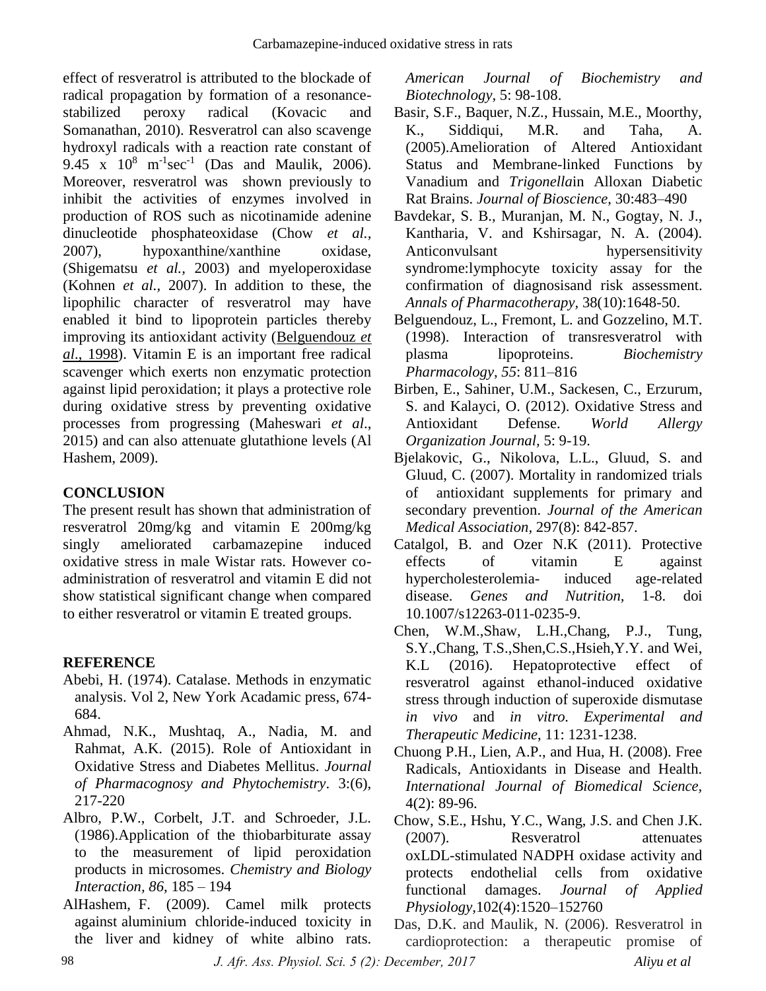effect of resveratrol is attributed to the blockade of radical propagation by formation of a resonancestabilized peroxy radical (Kovacic and Somanathan, 2010). Resveratrol can also scavenge hydroxyl radicals with a reaction rate constant of 9.45 x  $10^8$  m<sup>-1</sup>sec<sup>-1</sup> (Das and Maulik, 2006). Moreover, resveratrol was shown previously to inhibit the activities of enzymes involved in production of ROS such as nicotinamide adenine dinucleotide phosphateoxidase (Chow *et al.,* 2007), hypoxanthine/xanthine oxidase, (Shigematsu *et al.,* 2003) and myeloperoxidase (Kohnen *et al.,* 2007). In addition to these, the lipophilic character of resveratrol may have enabled it bind to lipoprotein particles thereby improving its antioxidant activity [\(Belguendouz](http://www.sciencedirect.com/science/article/pii/S1878535210001012#b0020) *et al*., [1998\)](http://www.sciencedirect.com/science/article/pii/S1878535210001012#b0020). Vitamin E is an important free radical scavenger which exerts non enzymatic protection against lipid peroxidation; it plays a protective role during oxidative stress by preventing oxidative processes from progressing (Maheswari *et al*., 2015) and can also attenuate glutathione levels (Al Hashem, 2009).

# **CONCLUSION**

The present result has shown that administration of resveratrol 20mg/kg and vitamin E 200mg/kg singly ameliorated carbamazepine induced oxidative stress in male Wistar rats. However coadministration of resveratrol and vitamin E did not show statistical significant change when compared to either resveratrol or vitamin E treated groups.

# **REFERENCE**

- Abebi, H. (1974). Catalase. Methods in enzymatic analysis. Vol 2, New York Acadamic press, 674- 684.
- Ahmad, N.K., Mushtaq, A., Nadia, M. and Rahmat, A.K. (2015). Role of Antioxidant in Oxidative Stress and Diabetes Mellitus. *Journal of Pharmacognosy and Phytochemistry*. 3:(6), 217-220
- Albro, P.W., Corbelt, J.T. and Schroeder, J.L. (1986).Application of the thiobarbiturate assay to the measurement of lipid peroxidation products in microsomes. *Chemistry and Biology Interaction, 86*, 185 – 194
- AlHashem, F. (2009). Camel milk protects against aluminium chloride-induced toxicity in the liver and kidney of white albino rats.

*American Journal of Biochemistry and Biotechnology,* 5: 98-108.

- Basir, S.F., Baquer, N.Z., Hussain, M.E., Moorthy, K., Siddiqui, M.R. and Taha, A. (2005).Amelioration of Altered Antioxidant Status and Membrane-linked Functions by Vanadium and *Trigonella*in Alloxan Diabetic Rat Brains. *Journal of Bioscience*, 30:483–490
- Bavdekar, S. B., Muranjan, M. N., Gogtay, N. J., Kantharia, V. and Kshirsagar, N. A. (2004). Anticonvulsant hypersensitivity syndrome:lymphocyte toxicity assay for the confirmation of diagnosisand risk assessment. *Annals of Pharmacotherapy,* 38(10):1648-50.
- Belguendouz, L., Fremont, L. and Gozzelino, M.T. (1998). Interaction of transresveratrol with plasma lipoproteins. *Biochemistry Pharmacology*, *55*: 811–816
- Birben, E., Sahiner, U.M., Sackesen, C., Erzurum, S. and Kalayci, O. (2012). Oxidative Stress and Antioxidant Defense. *World Allergy Organization Journal,* 5: 9-19.
- Bjelakovic, G., Nikolova, L.L., Gluud, S. and Gluud, C. (2007). Mortality in randomized trials of antioxidant supplements for primary and secondary prevention. *Journal of the American Medical Association,* 297(8): 842-857.
- Catalgol, B. and Ozer N.K (2011). Protective effects of vitamin E against hypercholesterolemia- induced age-related disease. *Genes and Nutrition,* 1-8. doi 10.1007/s12263-011-0235-9.
- Chen, W.M.,Shaw, L.H.,Chang, P.J., Tung, S.Y.,Chang, T.S.,Shen,C.S.,Hsieh,Y.Y. and Wei, K.L (2016). Hepatoprotective effect of resveratrol against ethanol-induced oxidative stress through induction of superoxide dismutase *in vivo* and *in vitro. Experimental and Therapeutic Medicine*, 11: 1231-1238.
- Chuong P.H., Lien, A.P., and Hua, H. (2008). Free Radicals, Antioxidants in Disease and Health. *International Journal of Biomedical Science,* 4(2): 89-96.
- Chow, S.E., Hshu, Y.C., Wang, J.S. and Chen J.K. (2007). Resveratrol attenuates oxLDL-stimulated NADPH oxidase activity and protects endothelial cells from oxidative functional damages. *Journal of Applied Physiology,*102(4):1520–152760

Das, D.K. and Maulik, N. (2006). Resveratrol in cardioprotection: a therapeutic promise of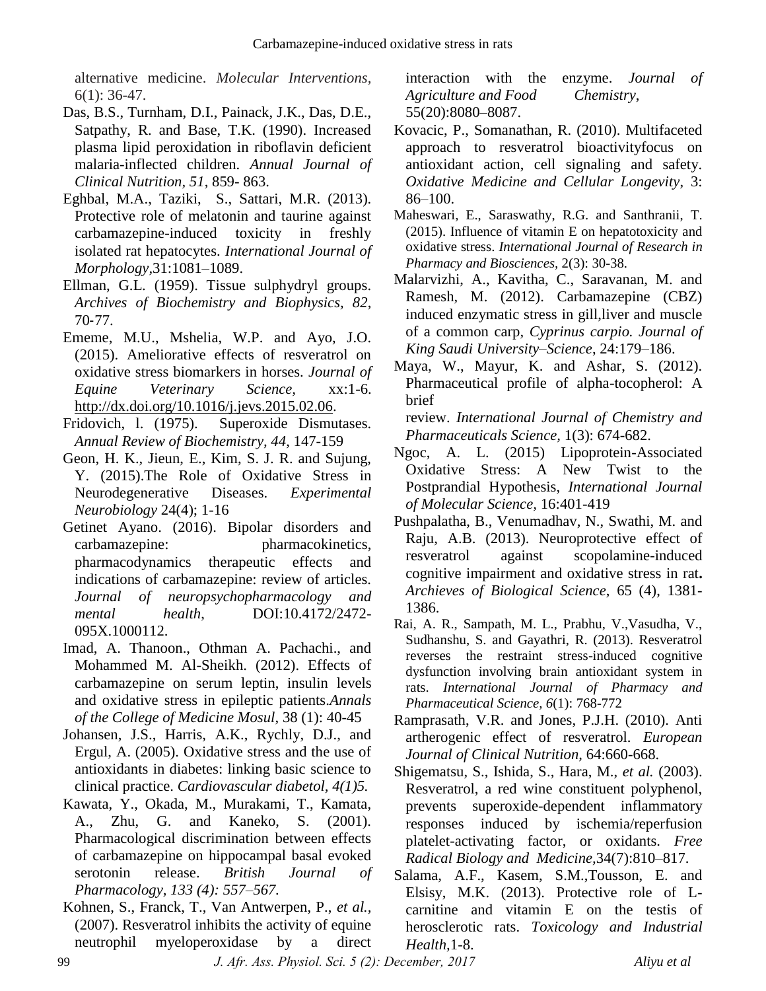alternative medicine. *Molecular Interventions,*  6(1): 36-47.

- Das, B.S., Turnham, D.I., Painack, J.K., Das, D.E., Satpathy, R. and Base, T.K. (1990). Increased plasma lipid peroxidation in riboflavin deficient malaria-inflected children. *Annual Journal of Clinical Nutrition, 51*, 859- 863.
- Eghbal, M.A., Taziki, S., Sattari, M.R. (2013). Protective role of melatonin and taurine against carbamazepine-induced toxicity in freshly isolated rat hepatocytes. *International Journal of Morphology,*31:1081–1089.
- Ellman, G.L. (1959). Tissue sulphydryl groups. *Archives of Biochemistry and Biophysics, 82*, 70‐77.
- Ememe, M.U., Mshelia, W.P. and Ayo, J.O. (2015). Ameliorative effects of resveratrol on oxidative stress biomarkers in horses. *Journal of Equine Veterinary Science,* xx:1-6. [http://dx.doi.org/10.1016/j.jevs.2015.02.06.](http://dx.doi.org/10.1016/j.jevs.2015.02.06)
- Fridovich, l. (1975). Superoxide Dismutases. *Annual Review of Biochemistry, 44*, 147-159
- Geon, H. K., Jieun, E., Kim, S. J. R. and Sujung, Y. (2015).The Role of Oxidative Stress in Neurodegenerative Diseases. *Experimental Neurobiology* 24(4); 1-16
- Getinet Ayano. (2016). Bipolar disorders and carbamazepine: pharmacokinetics, pharmacodynamics therapeutic effects and indications of carbamazepine: review of articles. *Journal of neuropsychopharmacology and mental health*, DOI:10.4172/2472- 095X.1000112.
- Imad, A. Thanoon., Othman A. Pachachi., and Mohammed M. Al-Sheikh. (2012). Effects of carbamazepine on serum leptin, insulin levels and oxidative stress in epileptic patients.*Annals of the College of Medicine Mosul*, 38 (1): 40-45
- Johansen, J.S., Harris, A.K., Rychly, D.J., and Ergul, A. (2005). Oxidative stress and the use of antioxidants in diabetes: linking basic science to clinical practice. *Cardiovascular diabetol, 4(1)5.*
- Kawata, Y., Okada, M., Murakami, T., Kamata, A., Zhu, G. and Kaneko, S. (2001). Pharmacological discrimination between effects of carbamazepine on hippocampal basal evoked serotonin release. *British Journal of Pharmacology, 133 (4): 557–567.*
- Kohnen, S., Franck, T., Van Antwerpen, P., *et al.,* (2007). Resveratrol inhibits the activity of equine neutrophil myeloperoxidase by a direct

interaction with the enzyme. *Journal of Agriculture and Food Chemistry*, 55(20):8080–8087.

- Kovacic, P., Somanathan, R. (2010). Multifaceted approach to resveratrol bioactivityfocus on antioxidant action, cell signaling and safety. *Oxidative Medicine and Cellular Longevity*, 3: 86–100.
- Maheswari, E., Saraswathy, R.G. and Santhranii, T. (2015). Influence of vitamin E on hepatotoxicity and oxidative stress. *International Journal of Research in Pharmacy and Biosciences,* 2(3): 30-38.
- Malarvizhi, A., Kavitha, C., Saravanan, M. and Ramesh, M. (2012). Carbamazepine (CBZ) induced enzymatic stress in gill,liver and muscle of a common carp, *Cyprinus carpio. Journal of King Saudi University–Science*, 24:179–186.
- Maya, W., Mayur, K. and Ashar, S. (2012). Pharmaceutical profile of alpha-tocopherol: A brief

review. *International Journal of Chemistry and Pharmaceuticals Science,* 1(3): 674-682.

- Ngoc, A. L. (2015) Lipoprotein-Associated Oxidative Stress: A New Twist to the Postprandial Hypothesis, *International Journal of Molecular Science,* 16:401-419
- Pushpalatha, B., Venumadhav, N., Swathi, M. and Raju, A.B. (2013). Neuroprotective effect of resveratrol against scopolamine-induced cognitive impairment and oxidative stress in rat**.** *Archieves of Biological Science*, 65 (4), 1381- 1386.
- Rai, A. R., Sampath, M. L., Prabhu, V.,Vasudha, V., Sudhanshu, S. and Gayathri, R. (2013). Resveratrol reverses the restraint stress-induced cognitive dysfunction involving brain antioxidant system in rats. *International Journal of Pharmacy and Pharmaceutical Science, 6*(1): 768-772
- Ramprasath, V.R. and Jones, P.J.H. (2010). Anti artherogenic effect of resveratrol. *European Journal of Clinical Nutrition,* 64:660-668.
- Shigematsu, S., Ishida, S., Hara, M., *et al.* (2003). Resveratrol, a red wine constituent polyphenol, prevents superoxide-dependent inflammatory responses induced by ischemia/reperfusion platelet-activating factor, or oxidants. *Free Radical Biology and Medicine,*34(7):810–817.
- Salama, A.F., Kasem, S.M.,Tousson, E. and Elsisy, M.K. (2013). Protective role of Lcarnitine and vitamin E on the testis of herosclerotic rats. *Toxicology and Industrial Health,*1-8.